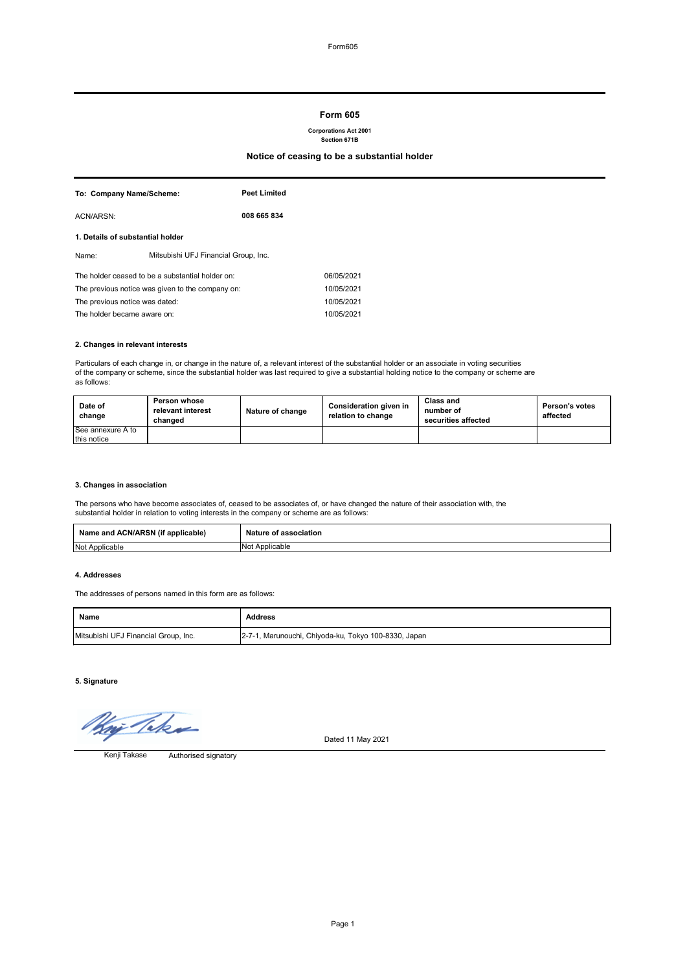## **2. Changes in relevant interests**

Particulars of each change in, or change in the nature of, a relevant interest of the substantial holder or an associate in voting securities of the company or scheme, since the substantial holder was last required to give a substantial holding notice to the company or scheme are as follows:

## **3. Changes in association**

| To: Company Name/Scheme:                         |                                                  | <b>Peet Limited</b>                  |            |
|--------------------------------------------------|--------------------------------------------------|--------------------------------------|------------|
| ACN/ARSN:                                        |                                                  | 008 665 834                          |            |
| 1. Details of substantial holder                 |                                                  |                                      |            |
| Name:                                            |                                                  | Mitsubishi UFJ Financial Group, Inc. |            |
|                                                  | The holder ceased to be a substantial holder on: |                                      | 06/05/2021 |
| The previous notice was given to the company on: |                                                  | 10/05/2021                           |            |
| The previous notice was dated:                   |                                                  | 10/05/2021                           |            |
| The holder became aware on:                      |                                                  | 10/05/2021                           |            |

The persons who have become associates of, ceased to be associates of, or have changed the nature of their association with, the substantial holder in relation to voting interests in the company or scheme are as follows:

#### **4. Addresses**

The addresses of persons named in this form are as follows:

**5. Signature**

i Taka

| Date of<br>change | <b>Person whose</b><br>relevant interest<br>changed | Nature of change | <b>Consideration given in</b><br>relation to change | <b>Class and</b><br>number of<br>securities affected | <b>Person's votes</b><br>affected |
|-------------------|-----------------------------------------------------|------------------|-----------------------------------------------------|------------------------------------------------------|-----------------------------------|
| See annexure A to |                                                     |                  |                                                     |                                                      |                                   |
| this notice       |                                                     |                  |                                                     |                                                      |                                   |

Dated 11 May 2021

| <b>ACN/ARSN (if</b><br><br><b>Name</b><br>applicable)<br>and : | Nature<br>association |
|----------------------------------------------------------------|-----------------------|
| <b>Not</b>                                                     | Applicable            |
| Applicable                                                     | NO.                   |

| <b>Name</b>                          | Address                                              |
|--------------------------------------|------------------------------------------------------|
| Mitsubishi UFJ Financial Group, Inc. | 2-7-1, Marunouchi, Chiyoda-ku, Tokyo 100-8330, Japan |

Authorised signatory Kenji Takase

# **Form 605**

#### **Corporations Act 2001 Section 671B**

# **Notice of ceasing to be a substantial holder**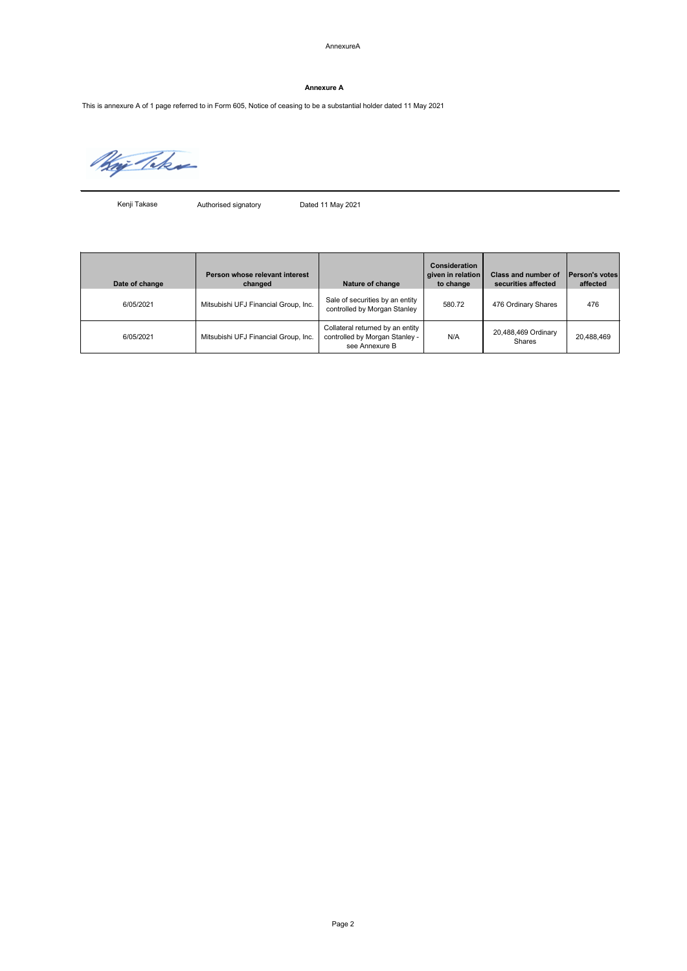### AnnexureA

Authorised signatory Dated 11 May 2021

| Date of change | Person whose relevant interest<br>changed | Nature of change                                                                     | <b>Consideration</b><br>given in relation<br>to change | <b>Class and number of</b><br>securities affected | <b>Person's votes</b><br>affected |
|----------------|-------------------------------------------|--------------------------------------------------------------------------------------|--------------------------------------------------------|---------------------------------------------------|-----------------------------------|
| 6/05/2021      | Mitsubishi UFJ Financial Group, Inc.      | Sale of securities by an entity<br>controlled by Morgan Stanley                      | 580.72                                                 | 476 Ordinary Shares                               | 476                               |
| 6/05/2021      | Mitsubishi UFJ Financial Group, Inc.      | Collateral returned by an entity<br>controlled by Morgan Stanley -<br>see Annexure B | N/A                                                    | 20,488,469 Ordinary<br><b>Shares</b>              | 20,488,469                        |

## **Annexure A**

This is annexure A of 1 page referred to in Form 605, Notice of ceasing to be a substantial holder dated 11 May 2021

Way Take

Kenji Takase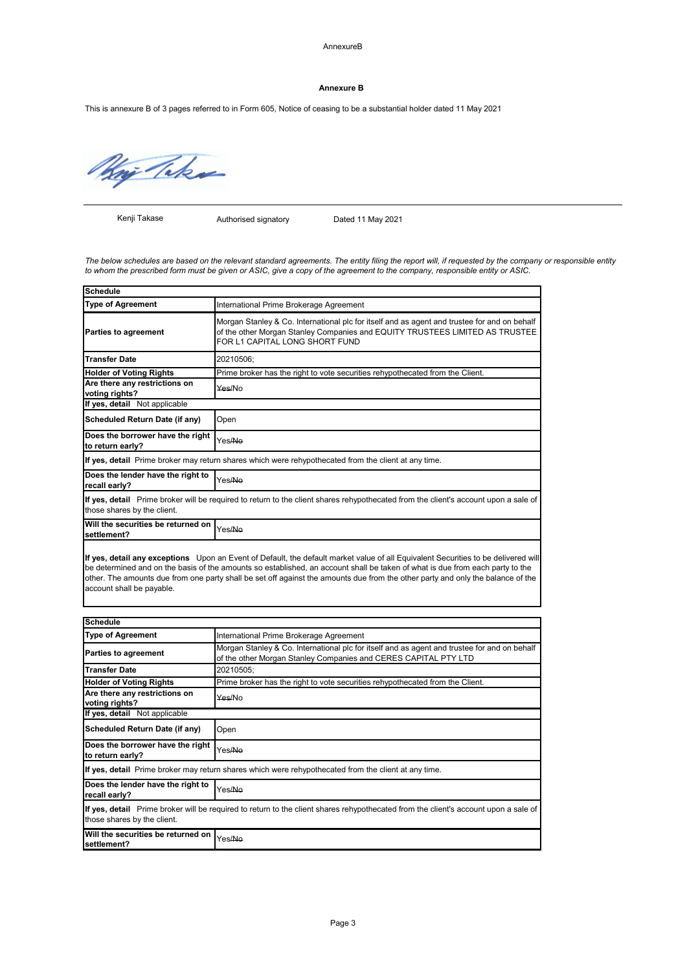AnnexureB

Page 3

Authorised signatory Dated 11 May 2021

| <b>Schedule</b>                                      |                                                                                                                                                                                                                |
|------------------------------------------------------|----------------------------------------------------------------------------------------------------------------------------------------------------------------------------------------------------------------|
| <b>Type of Agreement</b>                             | International Prime Brokerage Agreement                                                                                                                                                                        |
| <b>Parties to agreement</b>                          | Morgan Stanley & Co. International plc for itself and as agent and trustee for and on behalf<br>of the other Morgan Stanley Companies and EQUITY TRUSTEES LIMITED AS TRUSTEE<br>FOR L1 CAPITAL LONG SHORT FUND |
| <b>Transfer Date</b>                                 | 20210506;                                                                                                                                                                                                      |
| <b>Holder of Voting Rights</b>                       | Prime broker has the right to vote securities rehypothecated from the Client.                                                                                                                                  |
| Are there any restrictions on<br>voting rights?      | Yes/No                                                                                                                                                                                                         |
| If yes, detail Not applicable                        |                                                                                                                                                                                                                |
| <b>Scheduled Return Date (if any)</b>                | Open                                                                                                                                                                                                           |
| Does the borrower have the right<br>to return early? | Yes/Ne                                                                                                                                                                                                         |
|                                                      | If yes, detail Prime broker may return shares which were rehypothecated from the client at any time.                                                                                                           |
| Does the lender have the right to<br>recall early?   | Yes/ <del>No</del>                                                                                                                                                                                             |
| those shares by the client.                          | If yes, detail Prime broker will be required to return to the client shares rehypothecated from the client's account upon a sale of                                                                            |
| Will the securities be returned on<br>settlement?    | Yes/ <del>No</del>                                                                                                                                                                                             |

| <b>Schedule</b>                                      |                                                                                                                                                                 |
|------------------------------------------------------|-----------------------------------------------------------------------------------------------------------------------------------------------------------------|
| <b>Type of Agreement</b>                             | International Prime Brokerage Agreement                                                                                                                         |
| <b>Parties to agreement</b>                          | Morgan Stanley & Co. International plc for itself and as agent and trustee for and on behalf<br>of the other Morgan Stanley Companies and CERES CAPITAL PTY LTD |
| <b>Transfer Date</b>                                 | 20210505;                                                                                                                                                       |
| <b>Holder of Voting Rights</b>                       | Prime broker has the right to vote securities rehypothecated from the Client.                                                                                   |
| Are there any restrictions on<br>voting rights?      | Yes/No                                                                                                                                                          |
| If yes, detail Not applicable                        |                                                                                                                                                                 |
| <b>Scheduled Return Date (if any)</b>                | Open                                                                                                                                                            |
| Does the borrower have the right<br>to return early? | Yes/No                                                                                                                                                          |
|                                                      | If yes, detail Prime broker may return shares which were rehypothecated from the client at any time.                                                            |
| Does the lender have the right to<br>recall early?   | Yes/No                                                                                                                                                          |
| those shares by the client.                          | If yes, detail Prime broker will be required to return to the client shares rehypothecated from the client's account upon a sale of                             |
| Will the securities be returned on<br>settlement?    | Yes/No                                                                                                                                                          |

**If yes, detail any exceptions** Upon an Event of Default, the default market value of all Equivalent Securities to be delivered will be determined and on the basis of the amounts so established, an account shall be taken of what is due from each party to the other. The amounts due from one party shall be set off against the amounts due from the other party and only the balance of the account shall be payable.

### **Annexure B**

This is annexure B of 3 pages referred to in Form 605, Notice of ceasing to be a substantial holder dated 11 May 2021

Way Taker

*The below schedules are based on the relevant standard agreements. The entity filing the report will, if requested by the company or responsible entity to whom the prescribed form must be given or ASIC, give a copy of the agreement to the company, responsible entity or ASIC.*

Kenji Takase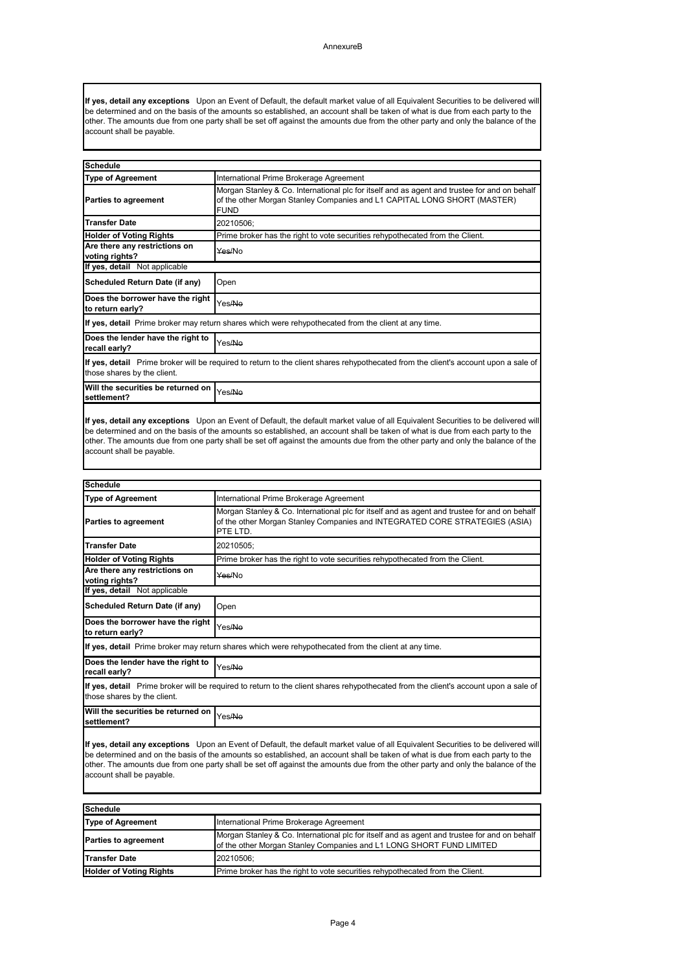Page 4

| <b>Schedule</b>                |                                                                                                                                                                      |
|--------------------------------|----------------------------------------------------------------------------------------------------------------------------------------------------------------------|
| <b>Type of Agreement</b>       | International Prime Brokerage Agreement                                                                                                                              |
| <b>Parties to agreement</b>    | Morgan Stanley & Co. International plc for itself and as agent and trustee for and on behalf<br>of the other Morgan Stanley Companies and L1 LONG SHORT FUND LIMITED |
| <b>Transfer Date</b>           | 20210506:                                                                                                                                                            |
| <b>Holder of Voting Rights</b> | Prime broker has the right to vote securities rehypothecated from the Client.                                                                                        |

| <b>Schedule</b>                                                                                                                                                    |                                                                                                                                                                                         |  |
|--------------------------------------------------------------------------------------------------------------------------------------------------------------------|-----------------------------------------------------------------------------------------------------------------------------------------------------------------------------------------|--|
| <b>Type of Agreement</b>                                                                                                                                           | International Prime Brokerage Agreement                                                                                                                                                 |  |
| <b>Parties to agreement</b>                                                                                                                                        | Morgan Stanley & Co. International plc for itself and as agent and trustee for and on behalf<br>of the other Morgan Stanley Companies and L1 CAPITAL LONG SHORT (MASTER)<br><b>FUND</b> |  |
| <b>Transfer Date</b>                                                                                                                                               | 20210506;                                                                                                                                                                               |  |
| <b>Holder of Voting Rights</b>                                                                                                                                     | Prime broker has the right to vote securities rehypothecated from the Client.                                                                                                           |  |
| Are there any restrictions on<br>voting rights?                                                                                                                    | Yes/No                                                                                                                                                                                  |  |
| If yes, detail Not applicable                                                                                                                                      |                                                                                                                                                                                         |  |
| <b>Scheduled Return Date (if any)</b>                                                                                                                              | Open                                                                                                                                                                                    |  |
| Does the borrower have the right<br>to return early?                                                                                                               | Yes/No                                                                                                                                                                                  |  |
|                                                                                                                                                                    | If yes, detail Prime broker may return shares which were rehypothecated from the client at any time.                                                                                    |  |
| Does the lender have the right to<br>recall early?                                                                                                                 | Yes/No                                                                                                                                                                                  |  |
| If yes, detail Prime broker will be required to return to the client shares rehypothecated from the client's account upon a sale of<br>those shares by the client. |                                                                                                                                                                                         |  |
| Will the securities be returned on<br>settlement?                                                                                                                  | Yes/ <del>No</del>                                                                                                                                                                      |  |
|                                                                                                                                                                    | If yes, detail any exceptions Upon an Event of Default, the default market value of all Equivalent Securities to be delivered will                                                      |  |

| <b>Schedule</b>                                                                                                                                                    |                                                                                                                                                                                         |
|--------------------------------------------------------------------------------------------------------------------------------------------------------------------|-----------------------------------------------------------------------------------------------------------------------------------------------------------------------------------------|
| <b>Type of Agreement</b>                                                                                                                                           | International Prime Brokerage Agreement                                                                                                                                                 |
| <b>Parties to agreement</b>                                                                                                                                        | Morgan Stanley & Co. International plc for itself and as agent and trustee for and on behalf<br>of the other Morgan Stanley Companies and INTEGRATED CORE STRATEGIES (ASIA)<br>PTE LTD. |
| <b>Transfer Date</b>                                                                                                                                               | 20210505;                                                                                                                                                                               |
| <b>Holder of Voting Rights</b>                                                                                                                                     | Prime broker has the right to vote securities rehypothecated from the Client.                                                                                                           |
| Are there any restrictions on<br>voting rights?                                                                                                                    | Yes/No                                                                                                                                                                                  |
| If yes, detail Not applicable                                                                                                                                      |                                                                                                                                                                                         |
| <b>Scheduled Return Date (if any)</b>                                                                                                                              | Open                                                                                                                                                                                    |
| Does the borrower have the right<br>to return early?                                                                                                               | Yes/No                                                                                                                                                                                  |
| If yes, detail Prime broker may return shares which were rehypothecated from the client at any time.                                                               |                                                                                                                                                                                         |
| Does the lender have the right to<br>recall early?                                                                                                                 | Yes/No                                                                                                                                                                                  |
| If yes, detail Prime broker will be required to return to the client shares rehypothecated from the client's account upon a sale of<br>those shares by the client. |                                                                                                                                                                                         |
| Will the securities be returned on<br>settlement?                                                                                                                  | Yes/No                                                                                                                                                                                  |

**If yes, detail any exceptions** Upon an Event of Default, the default market value of all Equivalent Securities to be delivered will be determined and on the basis of the amounts so established, an account shall be taken of what is due from each party to the other. The amounts due from one party shall be set off against the amounts due from the other party and only the balance of the account shall be payable.

be determined and on the basis of the amounts so established, an account shall be taken of what is due from each party to the other. The amounts due from one party shall be set off against the amounts due from the other party and only the balance of the account shall be payable.

**If yes, detail any exceptions** Upon an Event of Default, the default market value of all Equivalent Securities to be delivered will be determined and on the basis of the amounts so established, an account shall be taken of what is due from each party to the other. The amounts due from one party shall be set off against the amounts due from the other party and only the balance of the account shall be payable.